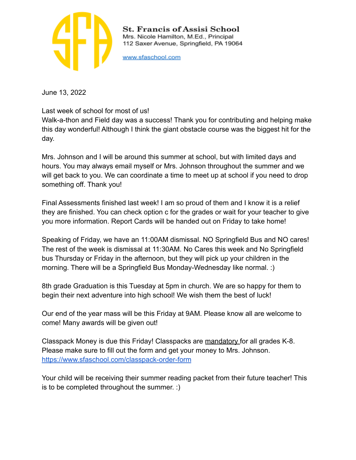

St. Francis of Assisi School Mrs. Nicole Hamilton, M.Ed., Principal 112 Saxer Avenue, Springfield, PA 19064

www.sfaschool.com

June 13, 2022

Last week of school for most of us!

Walk-a-thon and Field day was a success! Thank you for contributing and helping make this day wonderful! Although I think the giant obstacle course was the biggest hit for the day.

Mrs. Johnson and I will be around this summer at school, but with limited days and hours. You may always email myself or Mrs. Johnson throughout the summer and we will get back to you. We can coordinate a time to meet up at school if you need to drop something off. Thank you!

Final Assessments finished last week! I am so proud of them and I know it is a relief they are finished. You can check option c for the grades or wait for your teacher to give you more information. Report Cards will be handed out on Friday to take home!

Speaking of Friday, we have an 11:00AM dismissal. NO Springfield Bus and NO cares! The rest of the week is dismissal at 11:30AM. No Cares this week and No Springfield bus Thursday or Friday in the afternoon, but they will pick up your children in the morning. There will be a Springfield Bus Monday-Wednesday like normal. :)

8th grade Graduation is this Tuesday at 5pm in church. We are so happy for them to begin their next adventure into high school! We wish them the best of luck!

Our end of the year mass will be this Friday at 9AM. Please know all are welcome to come! Many awards will be given out!

Classpack Money is due this Friday! Classpacks are mandatory for all grades K-8. Please make sure to fill out the form and get your money to Mrs. Johnson. <https://www.sfaschool.com/classpack-order-form>

Your child will be receiving their summer reading packet from their future teacher! This is to be completed throughout the summer. :)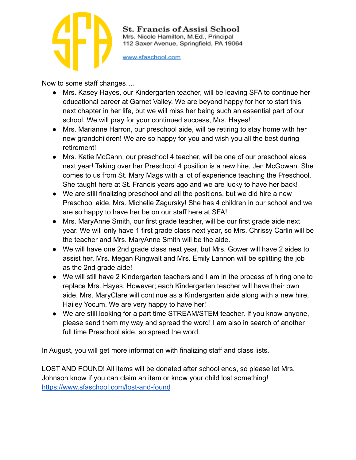

St. Francis of Assisi School Mrs. Nicole Hamilton, M.Ed., Principal 112 Saxer Avenue, Springfield, PA 19064

www.sfaschool.com

Now to some staff changes….

- Mrs. Kasey Hayes, our Kindergarten teacher, will be leaving SFA to continue her educational career at Garnet Valley. We are beyond happy for her to start this next chapter in her life, but we will miss her being such an essential part of our school. We will pray for your continued success, Mrs. Hayes!
- Mrs. Marianne Harron, our preschool aide, will be retiring to stay home with her new grandchildren! We are so happy for you and wish you all the best during retirement!
- Mrs. Katie McCann, our preschool 4 teacher, will be one of our preschool aides next year! Taking over her Preschool 4 position is a new hire, Jen McGowan. She comes to us from St. Mary Mags with a lot of experience teaching the Preschool. She taught here at St. Francis years ago and we are lucky to have her back!
- We are still finalizing preschool and all the positions, but we did hire a new Preschool aide, Mrs. Michelle Zagursky! She has 4 children in our school and we are so happy to have her be on our staff here at SFA!
- Mrs. MaryAnne Smith, our first grade teacher, will be our first grade aide next year. We will only have 1 first grade class next year, so Mrs. Chrissy Carlin will be the teacher and Mrs. MaryAnne Smith will be the aide.
- We will have one 2nd grade class next year, but Mrs. Gower will have 2 aides to assist her. Mrs. Megan Ringwalt and Mrs. Emily Lannon will be splitting the job as the 2nd grade aide!
- We will still have 2 Kindergarten teachers and I am in the process of hiring one to replace Mrs. Hayes. However; each Kindergarten teacher will have their own aide. Mrs. MaryClare will continue as a Kindergarten aide along with a new hire, Hailey Yocum. We are very happy to have her!
- We are still looking for a part time STREAM/STEM teacher. If you know anyone, please send them my way and spread the word! I am also in search of another full time Preschool aide, so spread the word.

In August, you will get more information with finalizing staff and class lists.

LOST AND FOUND! All items will be donated after school ends, so please let Mrs. Johnson know if you can claim an item or know your child lost something! <https://www.sfaschool.com/lost-and-found>